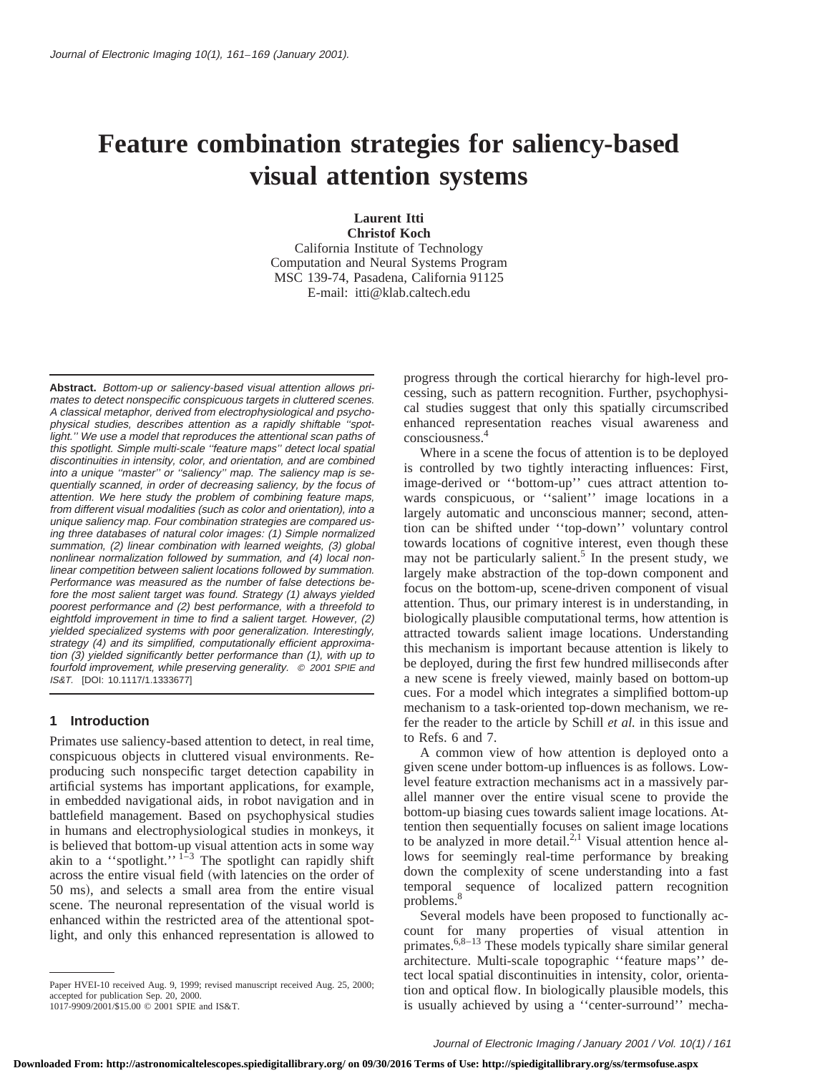# **Feature combination strategies for saliency-based visual attention systems**

**Laurent Itti**

**Christof Koch** California Institute of Technology Computation and Neural Systems Program MSC 139-74, Pasadena, California 91125 E-mail: itti@klab.caltech.edu

**Abstract.** Bottom-up or saliency-based visual attention allows primates to detect nonspecific conspicuous targets in cluttered scenes. A classical metaphor, derived from electrophysiological and psychophysical studies, describes attention as <sup>a</sup> rapidly shiftable ''spotlight.'' We use <sup>a</sup> model that reproduces the attentional scan paths of this spotlight. Simple multi-scale ''feature maps'' detect local spatial discontinuities in intensity, color, and orientation, and are combined into <sup>a</sup> unique ''master'' or ''saliency'' map. The saliency map is sequentially scanned, in order of decreasing saliency, by the focus of attention. We here study the problem of combining feature maps, from different visual modalities (such as color and orientation), into <sup>a</sup> unique saliency map. Four combination strategies are compared using three databases of natural color images: (1) Simple normalized summation, (2) linear combination with learned weights, (3) global nonlinear normalization followed by summation, and (4) local nonlinear competition between salient locations followed by summation. Performance was measured as the number of false detections before the most salient target was found. Strategy (1) always yielded poorest performance and (2) best performance, with <sup>a</sup> threefold to eightfold improvement in time to find <sup>a</sup> salient target. However, (2) yielded specialized systems with poor generalization. Interestingly, strategy (4) and its simplified, computationally efficient approximation (3) yielded significantly better performance than (1), with up to fourfold improvement, while preserving generality. © <sup>2001</sup> SPIE and IS&T. [DOI: 10.1117/1.1333677]

### **1 Introduction**

Primates use saliency-based attention to detect, in real time, conspicuous objects in cluttered visual environments. Reproducing such nonspecific target detection capability in artificial systems has important applications, for example, in embedded navigational aids, in robot navigation and in battlefield management. Based on psychophysical studies in humans and electrophysiological studies in monkeys, it is believed that bottom-up visual attention acts in some way akin to a "spotlight."<sup>1-3</sup> The spotlight can rapidly shift across the entire visual field (with latencies on the order of 50 ms), and selects a small area from the entire visual scene. The neuronal representation of the visual world is enhanced within the restricted area of the attentional spotlight, and only this enhanced representation is allowed to

progress through the cortical hierarchy for high-level processing, such as pattern recognition. Further, psychophysical studies suggest that only this spatially circumscribed enhanced representation reaches visual awareness and consciousness.4

Where in a scene the focus of attention is to be deployed is controlled by two tightly interacting influences: First, image-derived or ''bottom-up'' cues attract attention towards conspicuous, or ''salient'' image locations in a largely automatic and unconscious manner; second, attention can be shifted under ''top-down'' voluntary control towards locations of cognitive interest, even though these may not be particularly salient.<sup>5</sup> In the present study, we largely make abstraction of the top-down component and focus on the bottom-up, scene-driven component of visual attention. Thus, our primary interest is in understanding, in biologically plausible computational terms, how attention is attracted towards salient image locations. Understanding this mechanism is important because attention is likely to be deployed, during the first few hundred milliseconds after a new scene is freely viewed, mainly based on bottom-up cues. For a model which integrates a simplified bottom-up mechanism to a task-oriented top-down mechanism, we refer the reader to the article by Schill *et al.* in this issue and to Refs. 6 and 7.

A common view of how attention is deployed onto a given scene under bottom-up influences is as follows. Lowlevel feature extraction mechanisms act in a massively parallel manner over the entire visual scene to provide the bottom-up biasing cues towards salient image locations. Attention then sequentially focuses on salient image locations to be analyzed in more detail. $^{2,1}$  Visual attention hence allows for seemingly real-time performance by breaking down the complexity of scene understanding into a fast temporal sequence of localized pattern recognition problems.<sup>8</sup>

Several models have been proposed to functionally account for many properties of visual attention in primates.<sup>6,8-13</sup> These models typically share similar general architecture. Multi-scale topographic ''feature maps'' detect local spatial discontinuities in intensity, color, orientation and optical flow. In biologically plausible models, this is usually achieved by using a ''center-surround'' mecha-

Paper HVEI-10 received Aug. 9, 1999; revised manuscript received Aug. 25, 2000; accepted for publication Sep. 20, 2000.

<sup>1017-9909/2001/\$15.00 © 2001</sup> SPIE and IS&T.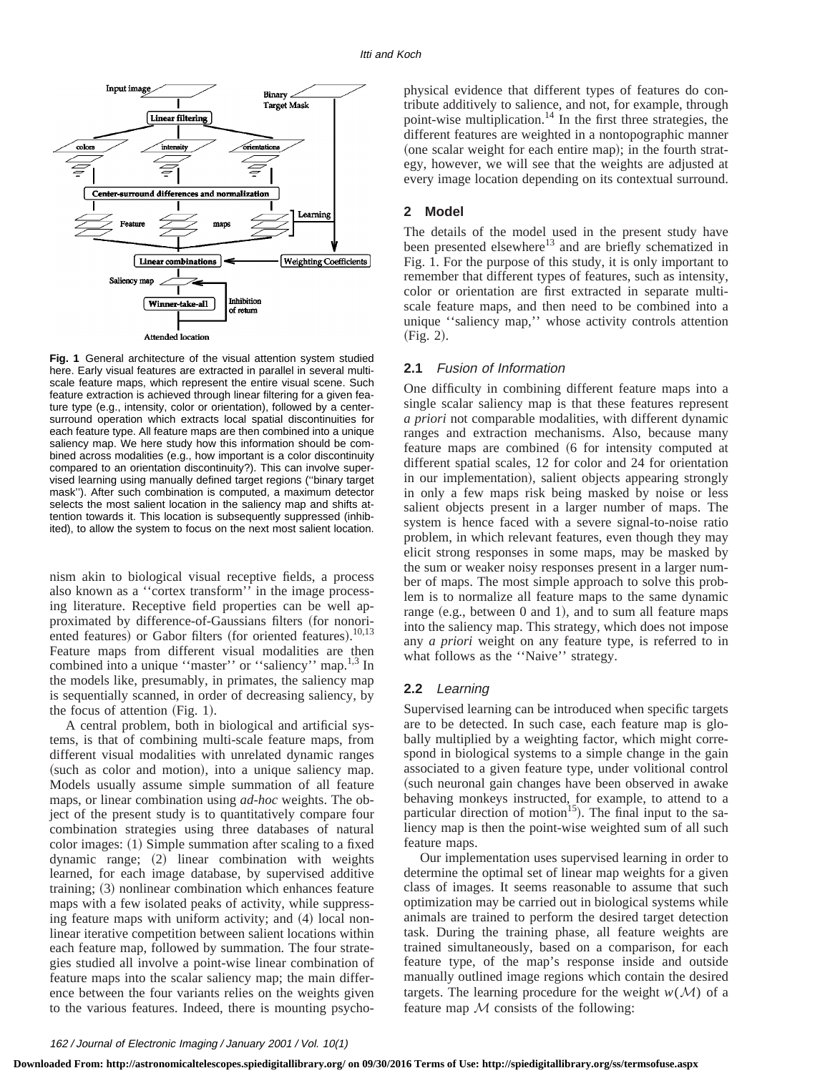

**Fig. 1** General architecture of the visual attention system studied here. Early visual features are extracted in parallel in several multiscale feature maps, which represent the entire visual scene. Such feature extraction is achieved through linear filtering for a given feature type (e.g., intensity, color or orientation), followed by a centersurround operation which extracts local spatial discontinuities for each feature type. All feature maps are then combined into a unique saliency map. We here study how this information should be combined across modalities (e.g., how important is a color discontinuity compared to an orientation discontinuity?). This can involve supervised learning using manually defined target regions (''binary target mask''). After such combination is computed, a maximum detector selects the most salient location in the saliency map and shifts attention towards it. This location is subsequently suppressed (inhibited), to allow the system to focus on the next most salient location.

nism akin to biological visual receptive fields, a process also known as a ''cortex transform'' in the image processing literature. Receptive field properties can be well approximated by difference-of-Gaussians filters (for nonoriented features) or Gabor filters (for oriented features).<sup>10,13</sup> Feature maps from different visual modalities are then combined into a unique "master" or "saliency" map.<sup>1,3</sup> In the models like, presumably, in primates, the saliency map is sequentially scanned, in order of decreasing saliency, by the focus of attention  $(Fig. 1)$ .

A central problem, both in biological and artificial systems, is that of combining multi-scale feature maps, from different visual modalities with unrelated dynamic ranges (such as color and motion), into a unique saliency map. Models usually assume simple summation of all feature maps, or linear combination using *ad-hoc* weights. The object of the present study is to quantitatively compare four combination strategies using three databases of natural  $color$  images:  $(1)$  Simple summation after scaling to a fixed dynamic range;  $(2)$  linear combination with weights learned, for each image database, by supervised additive training;  $(3)$  nonlinear combination which enhances feature maps with a few isolated peaks of activity, while suppressing feature maps with uniform activity; and  $(4)$  local nonlinear iterative competition between salient locations within each feature map, followed by summation. The four strategies studied all involve a point-wise linear combination of feature maps into the scalar saliency map; the main difference between the four variants relies on the weights given to the various features. Indeed, there is mounting psychophysical evidence that different types of features do contribute additively to salience, and not, for example, through point-wise multiplication.14 In the first three strategies, the different features are weighted in a nontopographic manner  $(one scalar weight for each entire map);$  in the fourth strategy, however, we will see that the weights are adjusted at every image location depending on its contextual surround.

# **2 Model**

The details of the model used in the present study have been presented elsewhere<sup>13</sup> and are briefly schematized in Fig. 1. For the purpose of this study, it is only important to remember that different types of features, such as intensity, color or orientation are first extracted in separate multiscale feature maps, and then need to be combined into a unique ''saliency map,'' whose activity controls attention  $(Fig. 2).$ 

### **2.1** Fusion of Information

One difficulty in combining different feature maps into a single scalar saliency map is that these features represent *a priori* not comparable modalities, with different dynamic ranges and extraction mechanisms. Also, because many feature maps are combined (6 for intensity computed at different spatial scales, 12 for color and 24 for orientation in our implementation), salient objects appearing strongly in only a few maps risk being masked by noise or less salient objects present in a larger number of maps. The system is hence faced with a severe signal-to-noise ratio problem, in which relevant features, even though they may elicit strong responses in some maps, may be masked by the sum or weaker noisy responses present in a larger number of maps. The most simple approach to solve this problem is to normalize all feature maps to the same dynamic range (e.g., between  $0$  and  $1$ ), and to sum all feature maps into the saliency map. This strategy, which does not impose any *a priori* weight on any feature type, is referred to in what follows as the ''Naive'' strategy.

### **2.2** Learning

Supervised learning can be introduced when specific targets are to be detected. In such case, each feature map is globally multiplied by a weighting factor, which might correspond in biological systems to a simple change in the gain associated to a given feature type, under volitional control (such neuronal gain changes have been observed in awake behaving monkeys instructed, for example, to attend to a particular direction of motion<sup>15</sup>). The final input to the saliency map is then the point-wise weighted sum of all such feature maps.

Our implementation uses supervised learning in order to determine the optimal set of linear map weights for a given class of images. It seems reasonable to assume that such optimization may be carried out in biological systems while animals are trained to perform the desired target detection task. During the training phase, all feature weights are trained simultaneously, based on a comparison, for each feature type, of the map's response inside and outside manually outlined image regions which contain the desired targets. The learning procedure for the weight  $w(\mathcal{M})$  of a feature map  $M$  consists of the following: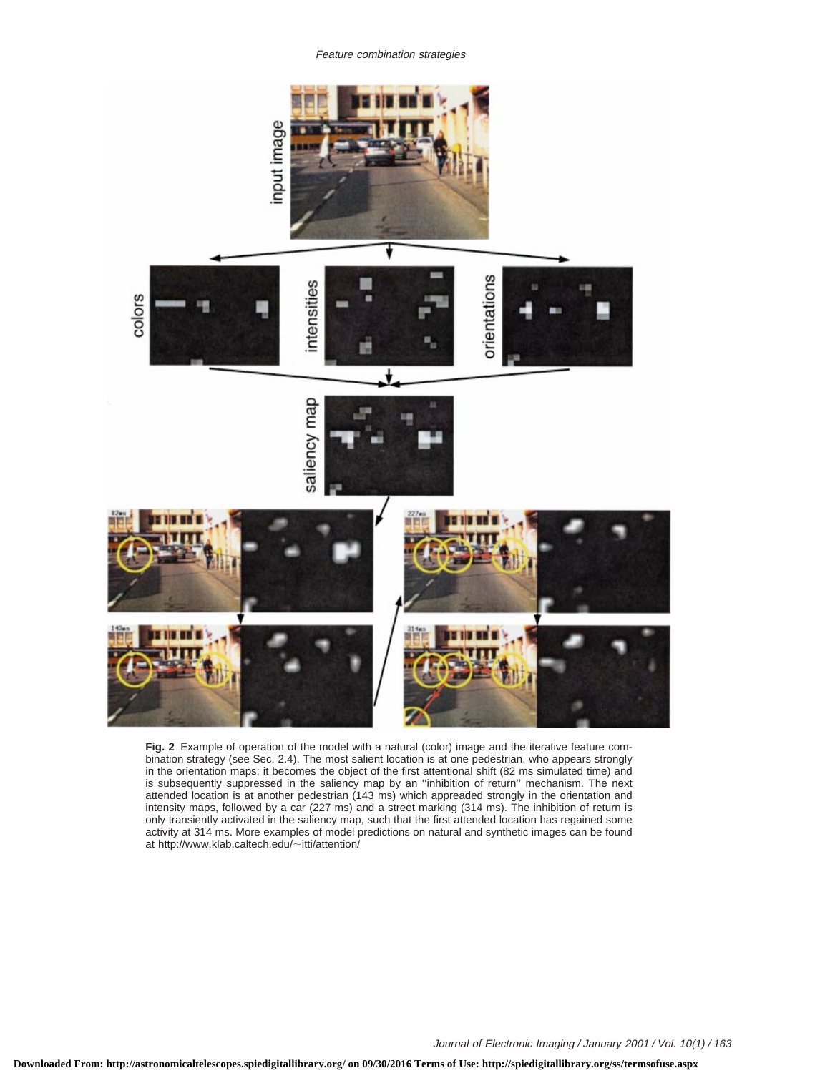Feature combination strategies



**Fig. 2** Example of operation of the model with a natural (color) image and the iterative feature combination strategy (see Sec. 2.4). The most salient location is at one pedestrian, who appears strongly in the orientation maps; it becomes the object of the first attentional shift (82 ms simulated time) and is subsequently suppressed in the saliency map by an ''inhibition of return'' mechanism. The next attended location is at another pedestrian (143 ms) which appreaded strongly in the orientation and intensity maps, followed by a car (227 ms) and a street marking (314 ms). The inhibition of return is only transiently activated in the saliency map, such that the first attended location has regained some activity at 314 ms. More examples of model predictions on natural and synthetic images can be found at http://www.klab.caltech.edu/~itti/attention/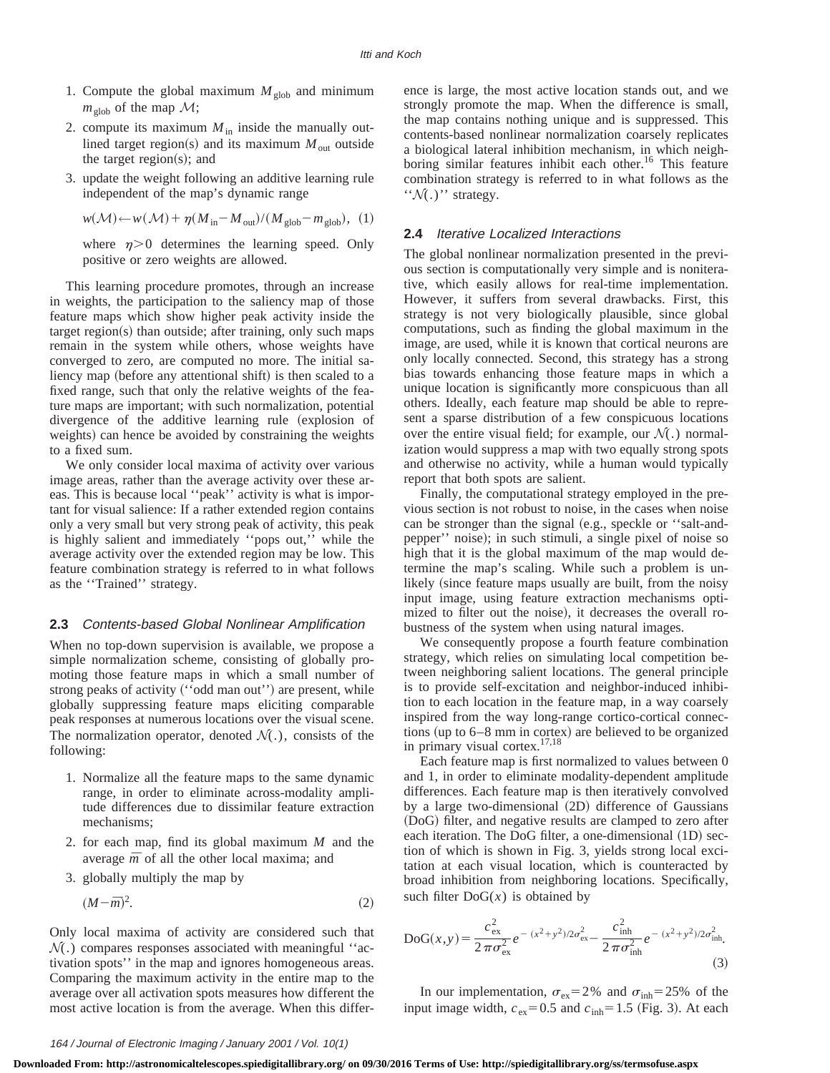- 1. Compute the global maximum  $M_{\text{glob}}$  and minimum  $m_{\text{glob}}$  of the map  $\mathcal{M}$ ;
- 2. compute its maximum  $M_{\text{in}}$  inside the manually outlined target region(s) and its maximum  $M_{\text{out}}$  outside the target region(s); and
- 3. update the weight following an additive learning rule independent of the map's dynamic range

$$
w(\mathcal{M}) \leftarrow w(\mathcal{M}) + \eta (M_{\text{in}} - M_{\text{out}}) / (M_{\text{glob}} - m_{\text{glob}}), (1)
$$

where  $\eta$  > 0 determines the learning speed. Only positive or zero weights are allowed.

This learning procedure promotes, through an increase in weights, the participation to the saliency map of those feature maps which show higher peak activity inside the  $target$  region $(s)$  than outside; after training, only such maps remain in the system while others, whose weights have converged to zero, are computed no more. The initial saliency map (before any attentional shift) is then scaled to a fixed range, such that only the relative weights of the feature maps are important; with such normalization, potential divergence of the additive learning rule (explosion of weights) can hence be avoided by constraining the weights to a fixed sum.

We only consider local maxima of activity over various image areas, rather than the average activity over these areas. This is because local ''peak'' activity is what is important for visual salience: If a rather extended region contains only a very small but very strong peak of activity, this peak is highly salient and immediately ''pops out,'' while the average activity over the extended region may be low. This feature combination strategy is referred to in what follows as the ''Trained'' strategy.

### **2.3** Contents-based Global Nonlinear Amplification

When no top-down supervision is available, we propose a simple normalization scheme, consisting of globally promoting those feature maps in which a small number of strong peaks of activity ("odd man out") are present, while globally suppressing feature maps eliciting comparable peak responses at numerous locations over the visual scene. The normalization operator, denoted  $\mathcal{N}(.)$ , consists of the following:

- 1. Normalize all the feature maps to the same dynamic range, in order to eliminate across-modality amplitude differences due to dissimilar feature extraction mechanisms;
- 2. for each map, find its global maximum *M* and the average  $\bar{m}$  of all the other local maxima; and
- 3. globally multiply the map by

$$
(M - \overline{m})^2. \tag{2}
$$

Only local maxima of activity are considered such that  $\mathcal{N}(\cdot)$  compares responses associated with meaningful "activation spots'' in the map and ignores homogeneous areas. Comparing the maximum activity in the entire map to the average over all activation spots measures how different the most active location is from the average. When this difference is large, the most active location stands out, and we strongly promote the map. When the difference is small, the map contains nothing unique and is suppressed. This contents-based nonlinear normalization coarsely replicates a biological lateral inhibition mechanism, in which neighboring similar features inhibit each other.<sup>16</sup> This feature combination strategy is referred to in what follows as the  $\mathcal{W}(.)$ " strategy.

# **2.4** Iterative Localized Interactions

The global nonlinear normalization presented in the previous section is computationally very simple and is noniterative, which easily allows for real-time implementation. However, it suffers from several drawbacks. First, this strategy is not very biologically plausible, since global computations, such as finding the global maximum in the image, are used, while it is known that cortical neurons are only locally connected. Second, this strategy has a strong bias towards enhancing those feature maps in which a unique location is significantly more conspicuous than all others. Ideally, each feature map should be able to represent a sparse distribution of a few conspicuous locations over the entire visual field; for example, our  $\mathcal{N}(.)$  normalization would suppress a map with two equally strong spots and otherwise no activity, while a human would typically report that both spots are salient.

Finally, the computational strategy employed in the previous section is not robust to noise, in the cases when noise can be stronger than the signal (e.g., speckle or "salt-andpepper'' noise); in such stimuli, a single pixel of noise so high that it is the global maximum of the map would determine the map's scaling. While such a problem is unlikely (since feature maps usually are built, from the noisy input image, using feature extraction mechanisms optimized to filter out the noise), it decreases the overall robustness of the system when using natural images.

We consequently propose a fourth feature combination strategy, which relies on simulating local competition between neighboring salient locations. The general principle is to provide self-excitation and neighbor-induced inhibition to each location in the feature map, in a way coarsely inspired from the way long-range cortico-cortical connections (up to  $6-8$  mm in cortex) are believed to be organized in primary visual cortex.17,18

Each feature map is first normalized to values between 0 and 1, in order to eliminate modality-dependent amplitude differences. Each feature map is then iteratively convolved by a large two-dimensional  $(2D)$  difference of Gaussians ~DoG! filter, and negative results are clamped to zero after each iteration. The DoG filter, a one-dimensional  $(1D)$  section of which is shown in Fig. 3, yields strong local excitation at each visual location, which is counteracted by broad inhibition from neighboring locations. Specifically, such filter  $\text{DoG}(x)$  is obtained by

$$
DoG(x,y) = \frac{c_{ex}^{2}}{2\pi\sigma_{ex}^{2}}e^{-(x^{2}+y^{2})/2\sigma_{ex}^{2}} - \frac{c_{inh}^{2}}{2\pi\sigma_{inh}^{2}}e^{-(x^{2}+y^{2})/2\sigma_{inh}^{2}}.
$$
\n(3)

In our implementation,  $\sigma_{ex} = 2\%$  and  $\sigma_{inh} = 25\%$  of the input image width,  $c_{ex} = 0.5$  and  $c_{inh} = 1.5$  (Fig. 3). At each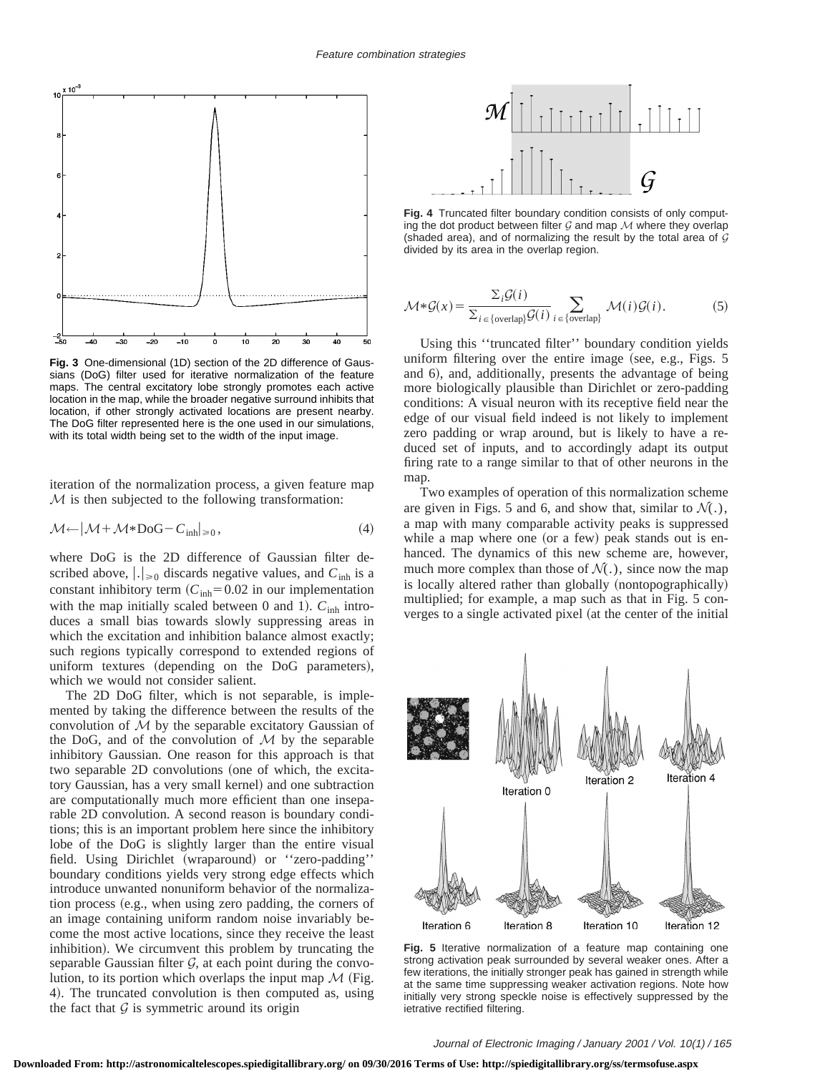

**Fig. 3** One-dimensional (1D) section of the 2D difference of Gaussians (DoG) filter used for iterative normalization of the feature maps. The central excitatory lobe strongly promotes each active location in the map, while the broader negative surround inhibits that location, if other strongly activated locations are present nearby. The DoG filter represented here is the one used in our simulations, with its total width being set to the width of the input image.

iteration of the normalization process, a given feature map  $M$  is then subjected to the following transformation:

$$
\mathcal{M} \leftarrow |\mathcal{M} + \mathcal{M} * \text{DoG} - C_{\text{inh}}|_{\geq 0},\tag{4}
$$

where DoG is the 2D difference of Gaussian filter described above,  $\lfloor . \rfloor_{\geq 0}$  discards negative values, and  $C_{\text{inh}}$  is a constant inhibitory term  $(C_{inh} = 0.02$  in our implementation with the map initially scaled between 0 and 1).  $C_{\text{inh}}$  introduces a small bias towards slowly suppressing areas in which the excitation and inhibition balance almost exactly; such regions typically correspond to extended regions of uniform textures (depending on the DoG parameters), which we would not consider salient.

The 2D DoG filter, which is not separable, is implemented by taking the difference between the results of the convolution of  $M$  by the separable excitatory Gaussian of the DoG, and of the convolution of  $M$  by the separable inhibitory Gaussian. One reason for this approach is that two separable 2D convolutions (one of which, the excitatory Gaussian, has a very small kernel) and one subtraction are computationally much more efficient than one inseparable 2D convolution. A second reason is boundary conditions; this is an important problem here since the inhibitory lobe of the DoG is slightly larger than the entire visual field. Using Dirichlet (wraparound) or "zero-padding" boundary conditions yields very strong edge effects which introduce unwanted nonuniform behavior of the normalization process (e.g., when using zero padding, the corners of an image containing uniform random noise invariably become the most active locations, since they receive the least inhibition). We circumvent this problem by truncating the separable Gaussian filter  $G$ , at each point during the convolution, to its portion which overlaps the input map  $\mathcal M$  (Fig. 4). The truncated convolution is then computed as, using the fact that  $\mathcal G$  is symmetric around its origin



**Fig. 4** Truncated filter boundary condition consists of only computing the dot product between filter  $G$  and map  $M$  where they overlap (shaded area), and of normalizing the result by the total area of  $G$ divided by its area in the overlap region.

$$
\mathcal{M} * \mathcal{G}(x) = \frac{\sum_{i} \mathcal{G}(i)}{\sum_{i \in \{\text{overlap}\}} \mathcal{G}(i)} \sum_{i \in \{\text{overlap}\}} \mathcal{M}(i) \mathcal{G}(i).
$$
 (5)

Using this ''truncated filter'' boundary condition yields uniform filtering over the entire image (see, e.g., Figs.  $5$ and 6), and, additionally, presents the advantage of being more biologically plausible than Dirichlet or zero-padding conditions: A visual neuron with its receptive field near the edge of our visual field indeed is not likely to implement zero padding or wrap around, but is likely to have a reduced set of inputs, and to accordingly adapt its output firing rate to a range similar to that of other neurons in the map.

Two examples of operation of this normalization scheme are given in Figs. 5 and 6, and show that, similar to  $\mathcal{N}(\cdot)$ , a map with many comparable activity peaks is suppressed while a map where one (or a few) peak stands out is enhanced. The dynamics of this new scheme are, however, much more complex than those of  $\mathcal{N}(\cdot)$ , since now the map is locally altered rather than globally (nontopographically) multiplied; for example, a map such as that in Fig. 5 converges to a single activated pixel (at the center of the initial



**Fig. 5** Iterative normalization of a feature map containing one strong activation peak surrounded by several weaker ones. After a few iterations, the initially stronger peak has gained in strength while at the same time suppressing weaker activation regions. Note how initially very strong speckle noise is effectively suppressed by the ietrative rectified filtering.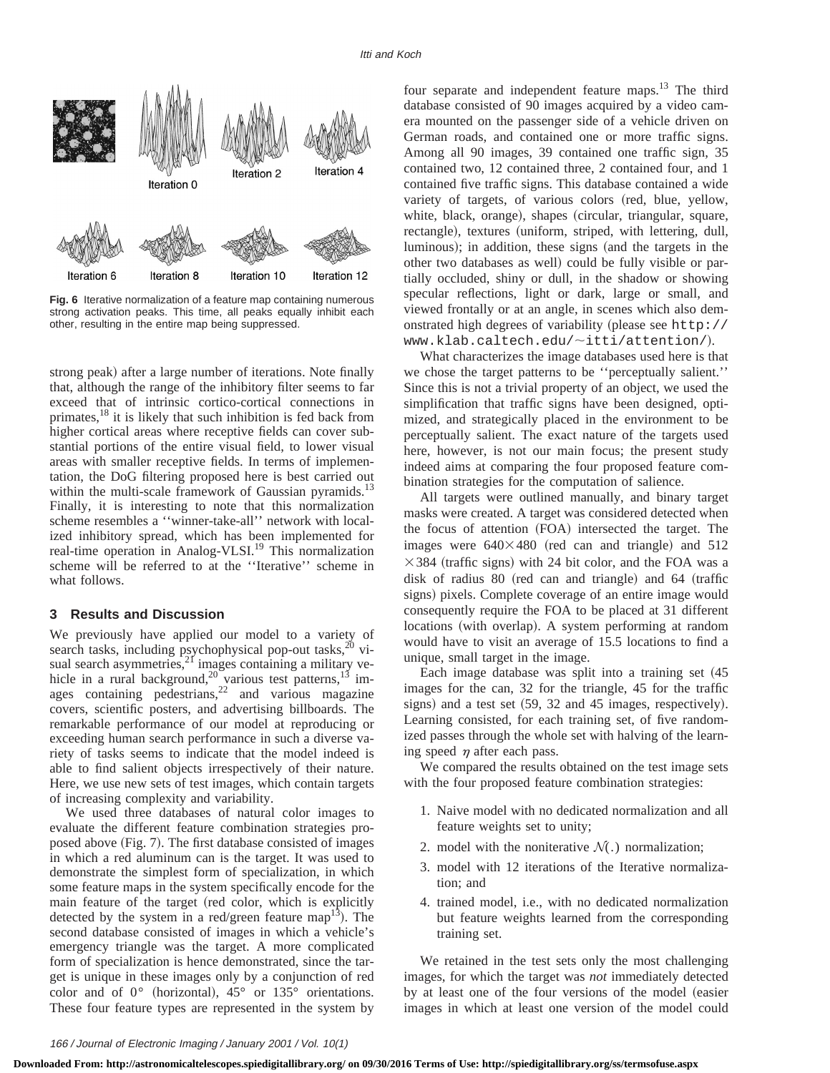

**Fig. 6** Iterative normalization of a feature map containing numerous strong activation peaks. This time, all peaks equally inhibit each other, resulting in the entire map being suppressed.

strong peak) after a large number of iterations. Note finally that, although the range of the inhibitory filter seems to far exceed that of intrinsic cortico-cortical connections in primates,<sup>18</sup> it is likely that such inhibition is fed back from higher cortical areas where receptive fields can cover substantial portions of the entire visual field, to lower visual areas with smaller receptive fields. In terms of implementation, the DoG filtering proposed here is best carried out within the multi-scale framework of Gaussian pyramids.<sup>13</sup> Finally, it is interesting to note that this normalization scheme resembles a ''winner-take-all'' network with localized inhibitory spread, which has been implemented for real-time operation in Analog-VLSI.<sup>19</sup> This normalization scheme will be referred to at the ''Iterative'' scheme in what follows.

# **3 Results and Discussion**

We previously have applied our model to a variety of search tasks, including psychophysical pop-out tasks,  $20$  visual search asymmetries, $21$  images containing a military vehicle in a rural background,<sup>20</sup> various test patterns,<sup>13</sup> images containing pedestrians, $2^2$  and various magazine covers, scientific posters, and advertising billboards. The remarkable performance of our model at reproducing or exceeding human search performance in such a diverse variety of tasks seems to indicate that the model indeed is able to find salient objects irrespectively of their nature. Here, we use new sets of test images, which contain targets of increasing complexity and variability.

We used three databases of natural color images to evaluate the different feature combination strategies proposed above (Fig. 7). The first database consisted of images in which a red aluminum can is the target. It was used to demonstrate the simplest form of specialization, in which some feature maps in the system specifically encode for the main feature of the target (red color, which is explicitly detected by the system in a red/green feature map<sup>13</sup>). The second database consisted of images in which a vehicle's emergency triangle was the target. A more complicated form of specialization is hence demonstrated, since the target is unique in these images only by a conjunction of red color and of  $0^{\circ}$  (horizontal),  $45^{\circ}$  or  $135^{\circ}$  orientations. These four feature types are represented in the system by four separate and independent feature maps.<sup>13</sup> The third database consisted of 90 images acquired by a video camera mounted on the passenger side of a vehicle driven on German roads, and contained one or more traffic signs. Among all 90 images, 39 contained one traffic sign, 35 contained two, 12 contained three, 2 contained four, and 1 contained five traffic signs. This database contained a wide variety of targets, of various colors (red, blue, yellow, white, black, orange), shapes (circular, triangular, square, rectangle), textures (uniform, striped, with lettering, dull, luminous); in addition, these signs (and the targets in the other two databases as well) could be fully visible or partially occluded, shiny or dull, in the shadow or showing specular reflections, light or dark, large or small, and viewed frontally or at an angle, in scenes which also demonstrated high degrees of variability (please see http://  $www.klab.caltech.edu/~itti/attention/).$ 

What characterizes the image databases used here is that we chose the target patterns to be ''perceptually salient.'' Since this is not a trivial property of an object, we used the simplification that traffic signs have been designed, optimized, and strategically placed in the environment to be perceptually salient. The exact nature of the targets used here, however, is not our main focus; the present study indeed aims at comparing the four proposed feature combination strategies for the computation of salience.

All targets were outlined manually, and binary target masks were created. A target was considered detected when the focus of attention (FOA) intersected the target. The images were  $640\times480$  (red can and triangle) and 512  $\times$  384 (traffic signs) with 24 bit color, and the FOA was a disk of radius  $80$  (red can and triangle) and  $64$  (traffic signs) pixels. Complete coverage of an entire image would consequently require the FOA to be placed at 31 different locations (with overlap). A system performing at random would have to visit an average of 15.5 locations to find a unique, small target in the image.

Each image database was split into a training set  $(45)$ images for the can, 32 for the triangle, 45 for the traffic signs) and a test set  $(59, 32, 414)$  and 45 images, respectively. Learning consisted, for each training set, of five randomized passes through the whole set with halving of the learning speed  $\eta$  after each pass.

We compared the results obtained on the test image sets with the four proposed feature combination strategies:

- 1. Naive model with no dedicated normalization and all feature weights set to unity;
- 2. model with the noniterative  $\mathcal{N}(.)$  normalization;
- 3. model with 12 iterations of the Iterative normalization; and
- 4. trained model, i.e., with no dedicated normalization but feature weights learned from the corresponding training set.

We retained in the test sets only the most challenging images, for which the target was *not* immediately detected by at least one of the four versions of the model (easier images in which at least one version of the model could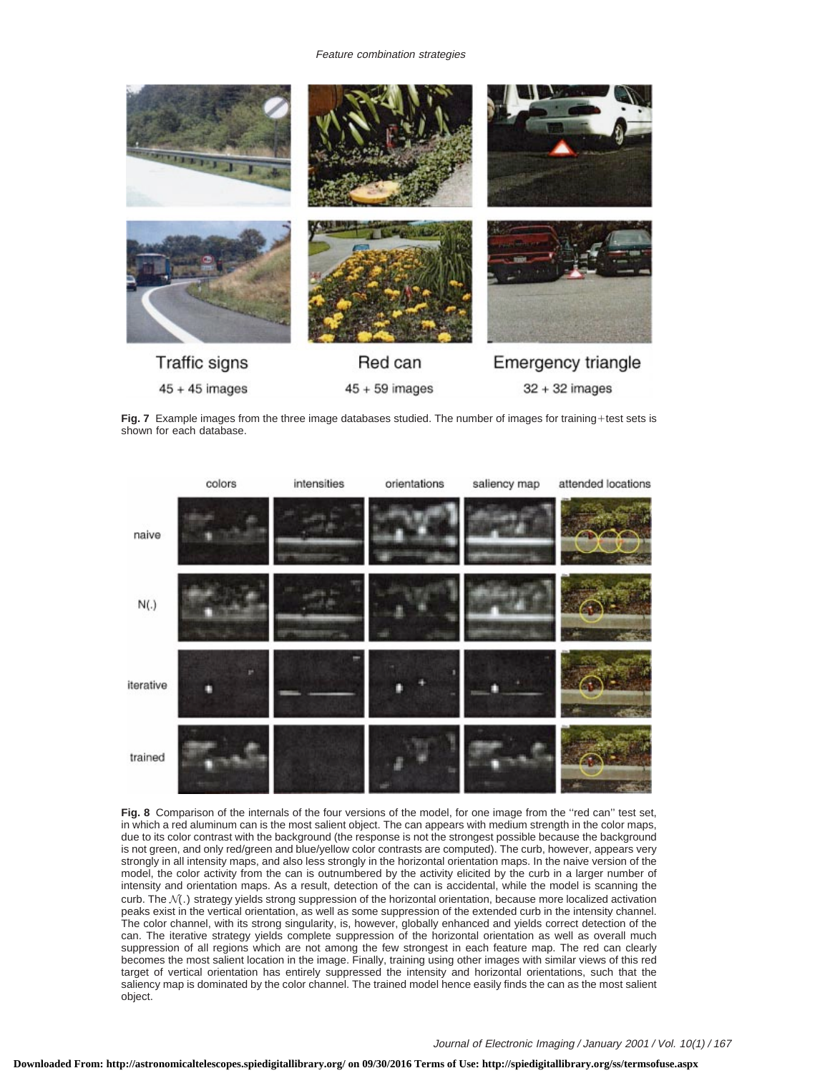

Fig. 7 Example images from the three image databases studied. The number of images for training+test sets is shown for each database.



**Fig. 8** Comparison of the internals of the four versions of the model, for one image from the ''red can'' test set, in which a red aluminum can is the most salient object. The can appears with medium strength in the color maps, due to its color contrast with the background (the response is not the strongest possible because the background is not green, and only red/green and blue/yellow color contrasts are computed). The curb, however, appears very strongly in all intensity maps, and also less strongly in the horizontal orientation maps. In the naive version of the model, the color activity from the can is outnumbered by the activity elicited by the curb in a larger number of intensity and orientation maps. As a result, detection of the can is accidental, while the model is scanning the curb. The N(.) strategy yields strong suppression of the horizontal orientation, because more localized activation peaks exist in the vertical orientation, as well as some suppression of the extended curb in the intensity channel. The color channel, with its strong singularity, is, however, globally enhanced and yields correct detection of the can. The iterative strategy yields complete suppression of the horizontal orientation as well as overall much suppression of all regions which are not among the few strongest in each feature map. The red can clearly becomes the most salient location in the image. Finally, training using other images with similar views of this red target of vertical orientation has entirely suppressed the intensity and horizontal orientations, such that the saliency map is dominated by the color channel. The trained model hence easily finds the can as the most salient object.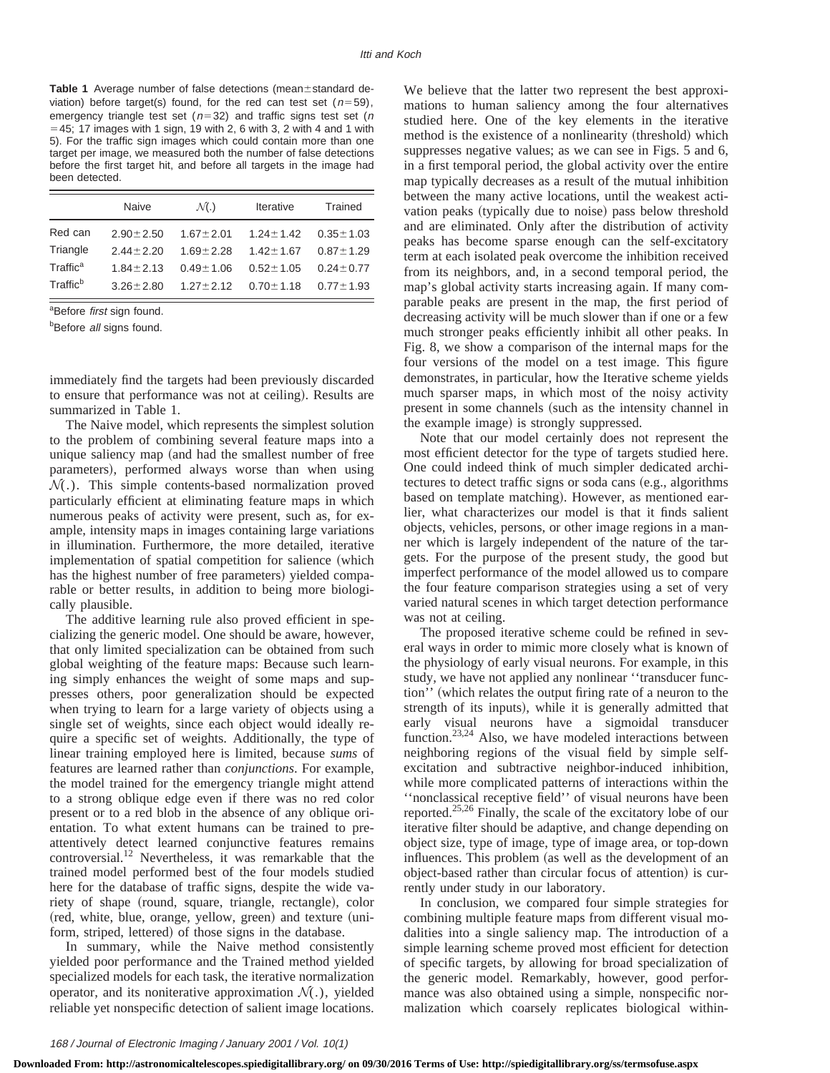Table 1 Average number of false detections (mean±standard deviation) before target(s) found, for the red can test set ( $n=59$ ), emergency triangle test set ( $n=32$ ) and traffic signs test set (n  $=$  45; 17 images with 1 sign, 19 with 2, 6 with 3, 2 with 4 and 1 with 5). For the traffic sign images which could contain more than one target per image, we measured both the number of false detections before the first target hit, and before all targets in the image had been detected.

|                      | Naive           | $\mathcal{N}$ . | <b>Iterative</b> | Trained         |
|----------------------|-----------------|-----------------|------------------|-----------------|
| Red can              | $2.90 \pm 2.50$ | $1.67 \pm 2.01$ | $1.24 \pm 1.42$  | $0.35 \pm 1.03$ |
| Triangle             | $2.44 + 2.20$   | $1.69 + 2.28$   | $1.42 + 1.67$    | $0.87 \pm 1.29$ |
| Traffic <sup>a</sup> | $1.84 + 2.13$   | $0.49 + 1.06$   | $0.52 \pm 1.05$  | $0.24 \pm 0.77$ |
| Traffic <sup>b</sup> | $3.26 \pm 2.80$ | $1.27 \pm 2.12$ | $0.70 \pm 1.18$  | $0.77 \pm 1.93$ |

<sup>a</sup>Before *first* sign found.

**Before all signs found.** 

immediately find the targets had been previously discarded to ensure that performance was not at ceiling). Results are summarized in Table 1.

The Naive model, which represents the simplest solution to the problem of combining several feature maps into a unique saliency map (and had the smallest number of free parameters), performed always worse than when using  $\mathcal{N}(.)$ . This simple contents-based normalization proved particularly efficient at eliminating feature maps in which numerous peaks of activity were present, such as, for example, intensity maps in images containing large variations in illumination. Furthermore, the more detailed, iterative implementation of spatial competition for salience (which has the highest number of free parameters) yielded comparable or better results, in addition to being more biologically plausible.

The additive learning rule also proved efficient in specializing the generic model. One should be aware, however, that only limited specialization can be obtained from such global weighting of the feature maps: Because such learning simply enhances the weight of some maps and suppresses others, poor generalization should be expected when trying to learn for a large variety of objects using a single set of weights, since each object would ideally require a specific set of weights. Additionally, the type of linear training employed here is limited, because *sums* of features are learned rather than *conjunctions*. For example, the model trained for the emergency triangle might attend to a strong oblique edge even if there was no red color present or to a red blob in the absence of any oblique orientation. To what extent humans can be trained to preattentively detect learned conjunctive features remains controversial.<sup>12</sup> Nevertheless, it was remarkable that the trained model performed best of the four models studied here for the database of traffic signs, despite the wide variety of shape (round, square, triangle, rectangle), color (red, white, blue, orange, yellow, green) and texture (uniform, striped, lettered) of those signs in the database.

In summary, while the Naive method consistently yielded poor performance and the Trained method yielded specialized models for each task, the iterative normalization operator, and its noniterative approximation  $\mathcal{N}(.)$ , yielded reliable yet nonspecific detection of salient image locations.

We believe that the latter two represent the best approximations to human saliency among the four alternatives studied here. One of the key elements in the iterative method is the existence of a nonlinearity (threshold) which suppresses negative values; as we can see in Figs. 5 and 6, in a first temporal period, the global activity over the entire map typically decreases as a result of the mutual inhibition between the many active locations, until the weakest activation peaks (typically due to noise) pass below threshold and are eliminated. Only after the distribution of activity peaks has become sparse enough can the self-excitatory term at each isolated peak overcome the inhibition received from its neighbors, and, in a second temporal period, the map's global activity starts increasing again. If many comparable peaks are present in the map, the first period of decreasing activity will be much slower than if one or a few much stronger peaks efficiently inhibit all other peaks. In Fig. 8, we show a comparison of the internal maps for the four versions of the model on a test image. This figure demonstrates, in particular, how the Iterative scheme yields much sparser maps, in which most of the noisy activity present in some channels (such as the intensity channel in the example image) is strongly suppressed.

Note that our model certainly does not represent the most efficient detector for the type of targets studied here. One could indeed think of much simpler dedicated architectures to detect traffic signs or soda cans (e.g., algorithms based on template matching). However, as mentioned earlier, what characterizes our model is that it finds salient objects, vehicles, persons, or other image regions in a manner which is largely independent of the nature of the targets. For the purpose of the present study, the good but imperfect performance of the model allowed us to compare the four feature comparison strategies using a set of very varied natural scenes in which target detection performance was not at ceiling.

The proposed iterative scheme could be refined in several ways in order to mimic more closely what is known of the physiology of early visual neurons. For example, in this study, we have not applied any nonlinear ''transducer function'' (which relates the output firing rate of a neuron to the strength of its inputs), while it is generally admitted that early visual neurons have a sigmoidal transducer function.23,24 Also, we have modeled interactions between neighboring regions of the visual field by simple selfexcitation and subtractive neighbor-induced inhibition, while more complicated patterns of interactions within the ''nonclassical receptive field'' of visual neurons have been reported.<sup>25,26</sup> Finally, the scale of the excitatory lobe of our iterative filter should be adaptive, and change depending on object size, type of image, type of image area, or top-down influences. This problem (as well as the development of an object-based rather than circular focus of attention) is currently under study in our laboratory.

In conclusion, we compared four simple strategies for combining multiple feature maps from different visual modalities into a single saliency map. The introduction of a simple learning scheme proved most efficient for detection of specific targets, by allowing for broad specialization of the generic model. Remarkably, however, good performance was also obtained using a simple, nonspecific normalization which coarsely replicates biological within